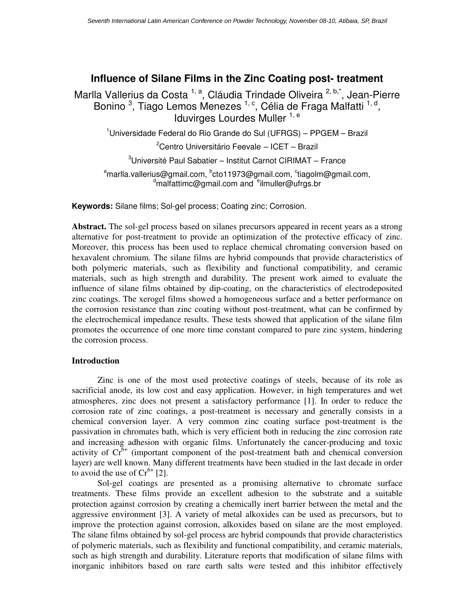# **Influence of Silane Films in the Zinc Coating post- treatment**

Marlla Vallerius da Costa<sup>1, a</sup>, Cláudia Trindade Oliveira <sup>2, b,\*</sup>, Jean-Pierre Bonino <sup>3</sup>, Tiago Lemos Menezes <sup>1, c</sup>, Célia de Fraga Malfatti <sup>1, d</sup>, Iduvirges Lourdes Muller  $1, e$ 

 $1$ Universidade Federal do Rio Grande do Sul (UFRGS) – PPGEM – Brazil

 $2$ Centro Universitário Feevale – ICET – Brazil

 $3$ Université Paul Sabatier – Institut Carnot CIRIMAT – France

<sup>a</sup>marlla.vallerius@gmail.com, <sup>b</sup>cto11973@gmail.com, <sup>c</sup>tiagolm@gmail.com,  $\alpha$ <sup>d</sup>malfattimc@gmail.com and  $\alpha$ <sup>e</sup>ilmuller@ufrgs.br

**Keywords:** Silane films; Sol-gel process; Coating zinc; Corrosion.

**Abstract.** The sol-gel process based on silanes precursors appeared in recent years as a strong alternative for post-treatment to provide an optimization of the protective efficacy of zinc. Moreover, this process has been used to replace chemical chromating conversion based on hexavalent chromium. The silane films are hybrid compounds that provide characteristics of both polymeric materials, such as flexibility and functional compatibility, and ceramic materials, such as high strength and durability. The present work aimed to evaluate the influence of silane films obtained by dip-coating, on the characteristics of electrodeposited zinc coatings. The xerogel films showed a homogeneous surface and a better performance on the corrosion resistance than zinc coating without post-treatment, what can be confirmed by the electrochemical impedance results. These tests showed that application of the silane film promotes the occurrence of one more time constant compared to pure zinc system, hindering the corrosion process.

# **Introduction**

Zinc is one of the most used protective coatings of steels, because of its role as sacrificial anode, its low cost and easy application. However, in high temperatures and wet atmospheres, zinc does not present a satisfactory performance [1]. In order to reduce the corrosion rate of zinc coatings, a post-treatment is necessary and generally consists in a chemical conversion layer. A very common zinc coating surface post-treatment is the passivation in chromates bath, which is very efficient both in reducing the zinc corrosion rate and increasing adhesion with organic films. Unfortunately the cancer-producing and toxic activity of  $Cr^{6+}$  (important component of the post-treatment bath and chemical conversion layer) are well known. Many different treatments have been studied in the last decade in order to avoid the use of  $Cr^{6+}$  [2].

Sol-gel coatings are presented as a promising alternative to chromate surface treatments. These films provide an excellent adhesion to the substrate and a suitable protection against corrosion by creating a chemically inert barrier between the metal and the aggressive environment [3]. A variety of metal alkoxides can be used as precursors, but to improve the protection against corrosion, alkoxides based on silane are the most employed. The silane films obtained by sol-gel process are hybrid compounds that provide characteristics of polymeric materials, such as flexibility and functional compatibility, and ceramic materials, such as high strength and durability. Literature reports that modification of silane films with inorganic inhibitors based on rare earth salts were tested and this inhibitor effectively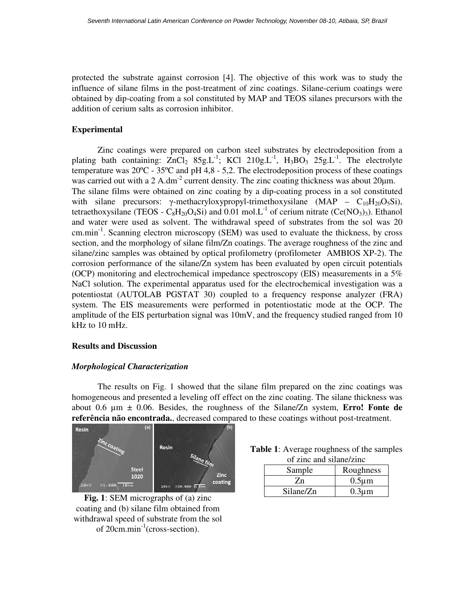protected the substrate against corrosion [4]. The objective of this work was to study the influence of silane films in the post-treatment of zinc coatings. Silane-cerium coatings were obtained by dip-coating from a sol constituted by MAP and TEOS silanes precursors with the addition of cerium salts as corrosion inhibitor.

### **Experimental**

Zinc coatings were prepared on carbon steel substrates by electrodeposition from a plating bath containing:  $ZnCl_2$  85g.L<sup>-1</sup>; KCl 210g.L<sup>-1</sup>, H<sub>3</sub>BO<sub>3</sub> 25g.L<sup>-1</sup>. The electrolyte temperature was 20ºC - 35ºC and pH 4,8 - 5,2. The electrodeposition process of these coatings was carried out with a 2 A.dm<sup>-2</sup> current density. The zinc coating thickness was about  $20\mu$ m. The silane films were obtained on zinc coating by a dip-coating process in a sol constituted with silane precursors: γ-methacryloxypropyl-trimethoxysilane (MAP –  $C_{10}H_{20}O_5Si$ ), tetraethoxysilane (TEOS -  $C_8H_{20}O_4Si$ ) and 0.01 mol. L<sup>-1</sup> of cerium nitrate (Ce(NO<sub>3</sub>)<sub>3</sub>). Ethanol and water were used as solvent. The withdrawal speed of substrates from the sol was 20 cm.min-1. Scanning electron microscopy (SEM) was used to evaluate the thickness, by cross section, and the morphology of silane film/Zn coatings. The average roughness of the zinc and silane/zinc samples was obtained by optical profilometry (profilometer AMBIOS XP-2). The corrosion performance of the silane/Zn system has been evaluated by open circuit potentials (OCP) monitoring and electrochemical impedance spectroscopy (EIS) measurements in a 5% NaCl solution. The experimental apparatus used for the electrochemical investigation was a potentiostat (AUTOLAB PGSTAT 30) coupled to a frequency response analyzer (FRA) system. The EIS measurements were performed in potentiostatic mode at the OCP. The amplitude of the EIS perturbation signal was 10mV, and the frequency studied ranged from 10 kHz to 10 mHz.

#### **Results and Discussion**

# *Morphological Characterization*

The results on Fig. 1 showed that the silane film prepared on the zinc coatings was homogeneous and presented a leveling off effect on the zinc coating. The silane thickness was about 0.6 µm ± 0.06. Besides, the roughness of the Silane/Zn system, **Erro! Fonte de referência não encontrada.**, decreased compared to these coatings without post-treatment.



**Fig. 1**: SEM micrographs of (a) zinc coating and (b) silane film obtained from withdrawal speed of substrate from the sol of 20cm.min-1(cross-section).

| <b>Table 1:</b> Average roughness of the samples |
|--------------------------------------------------|
| of zinc and silane/zinc                          |

| Sample    | Roughness   |  |  |  |  |
|-----------|-------------|--|--|--|--|
| /n        | $0.5 \mu m$ |  |  |  |  |
| Silane/Zn | $0.3 \mu m$ |  |  |  |  |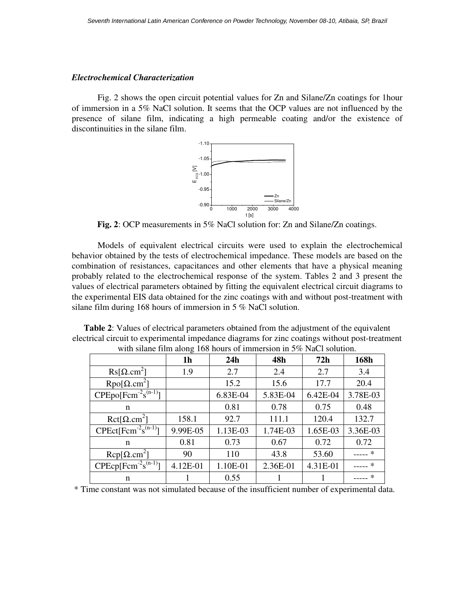### *Electrochemical Characterization*

Fig. 2 shows the open circuit potential values for Zn and Silane/Zn coatings for 1hour of immersion in a 5% NaCl solution. It seems that the OCP values are not influenced by the presence of silane film, indicating a high permeable coating and/or the existence of discontinuities in the silane film.





Models of equivalent electrical circuits were used to explain the electrochemical behavior obtained by the tests of electrochemical impedance. These models are based on the combination of resistances, capacitances and other elements that have a physical meaning probably related to the electrochemical response of the system. Tables 2 and 3 present the values of electrical parameters obtained by fitting the equivalent electrical circuit diagrams to the experimental EIS data obtained for the zinc coatings with and without post-treatment with silane film during 168 hours of immersion in 5 % NaCl solution.

**Table 2**: Values of electrical parameters obtained from the adjustment of the equivalent electrical circuit to experimental impedance diagrams for zinc coatings without post-treatment with silane film along 168 hours of immersion in 5% NaCl solution.

|                                              | 1 <sub>h</sub> | 24h      | 48h      | 72h      | 168h     |
|----------------------------------------------|----------------|----------|----------|----------|----------|
| $\text{Rs}[\Omega \text{.cm}^2]$             | 1.9            | 2.7      | 2.4      | 2.7      | 3.4      |
| $Rpo[\Omega.cm^2]$                           |                | 15.2     | 15.6     | 17.7     | 20.4     |
| $CPEpo[Fcm-2s(n-1)]$                         |                | 6.83E-04 | 5.83E-04 | 6.42E-04 | 3.78E-03 |
| n                                            |                | 0.81     | 0.78     | 0.75     | 0.48     |
| $Ret[\Omega.cm^2]$                           | 158.1          | 92.7     | 111.1    | 120.4    | 132.7    |
| CPEct[Fcm <sup>-2</sup> s <sup>(n-1)</sup> ] | 9.99E-05       | 1.13E-03 | 1.74E-03 | 1.65E-03 | 3.36E-03 |
| n                                            | 0.81           | 0.73     | 0.67     | 0.72     | 0.72     |
| $\text{Rep}[\Omega \text{.cm}^2]$            | 90             | 110      | 43.8     | 53.60    |          |
| $CPEcp[Fcm^{-2}s^{(n-1)}]$                   | 4.12E-01       | 1.10E-01 | 2.36E-01 | 4.31E-01 | $\ast$   |
| n                                            |                | 0.55     |          |          |          |

\* Time constant was not simulated because of the insufficient number of experimental data.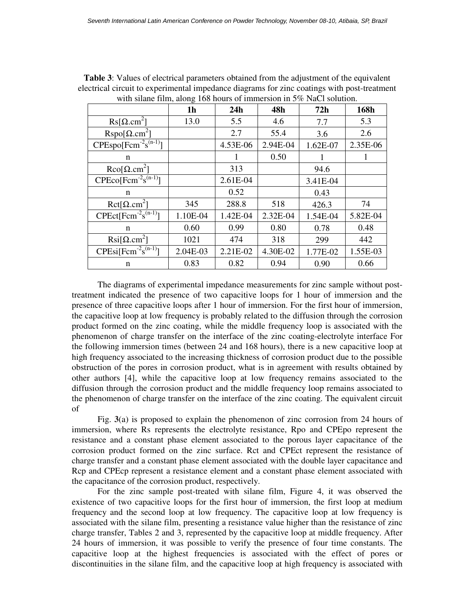|                                   | O<br>1 <sub>h</sub> | 24h      | 48h      | 72h      | 168h     |
|-----------------------------------|---------------------|----------|----------|----------|----------|
| $\text{Rs}[\Omega \text{.cm}^2]$  | 13.0                | 5.5      | 4.6      | 7.7      | 5.3      |
| $Rspo[\Omega.cm^2]$               |                     | 2.7      | 55.4     | 3.6      | 2.6      |
| $CPEspo[Fcm^{-2}s^{(n-1)}]$       |                     | 4.53E-06 | 2.94E-04 | 1.62E-07 | 2.35E-06 |
| n                                 |                     | 1        | 0.50     |          |          |
| $\text{Rco}[\Omega \text{.cm}^2]$ |                     | 313      |          | 94.6     |          |
| $CPEco[Fcm^{-2}s^{(n-1)}]$        |                     | 2.61E-04 |          | 3.41E-04 |          |
| n                                 |                     | 0.52     |          | 0.43     |          |
| $Ret[\Omega.cm^2]$                | 345                 | 288.8    | 518      | 426.3    | 74       |
| $CPEct[Fcm^{-2}s^{(n-1)}]$        | 1.10E-04            | 1.42E-04 | 2.32E-04 | 1.54E-04 | 5.82E-04 |
| $\mathbf n$                       | 0.60                | 0.99     | 0.80     | 0.78     | 0.48     |
| $\text{Rsi}[\Omega \text{.cm}^2]$ | 1021                | 474      | 318      | 299      | 442      |
| $CPEsi[Fcm^{-2}s^{(n-1)}]$        | 2.04E-03            | 2.21E-02 | 4.30E-02 | 1.77E-02 | 1.55E-03 |
| n                                 | 0.83                | 0.82     | 0.94     | 0.90     | 0.66     |

**Table 3**: Values of electrical parameters obtained from the adjustment of the equivalent electrical circuit to experimental impedance diagrams for zinc coatings with post-treatment with silane film, along 168 hours of immersion in 5% NaCl solution.

The diagrams of experimental impedance measurements for zinc sample without posttreatment indicated the presence of two capacitive loops for 1 hour of immersion and the presence of three capacitive loops after 1 hour of immersion. For the first hour of immersion, the capacitive loop at low frequency is probably related to the diffusion through the corrosion product formed on the zinc coating, while the middle frequency loop is associated with the phenomenon of charge transfer on the interface of the zinc coating-electrolyte interface For the following immersion times (between 24 and 168 hours), there is a new capacitive loop at high frequency associated to the increasing thickness of corrosion product due to the possible obstruction of the pores in corrosion product, what is in agreement with results obtained by other authors [4], while the capacitive loop at low frequency remains associated to the diffusion through the corrosion product and the middle frequency loop remains associated to the phenomenon of charge transfer on the interface of the zinc coating. The equivalent circuit of

Fig. **3**(a) is proposed to explain the phenomenon of zinc corrosion from 24 hours of immersion, where Rs represents the electrolyte resistance, Rpo and CPEpo represent the resistance and a constant phase element associated to the porous layer capacitance of the corrosion product formed on the zinc surface. Rct and CPEct represent the resistance of charge transfer and a constant phase element associated with the double layer capacitance and Rcp and CPEcp represent a resistance element and a constant phase element associated with the capacitance of the corrosion product, respectively.

For the zinc sample post-treated with silane film, Figure 4, it was observed the existence of two capacitive loops for the first hour of immersion, the first loop at medium frequency and the second loop at low frequency. The capacitive loop at low frequency is associated with the silane film, presenting a resistance value higher than the resistance of zinc charge transfer, Tables 2 and 3, represented by the capacitive loop at middle frequency. After 24 hours of immersion, it was possible to verify the presence of four time constants. The capacitive loop at the highest frequencies is associated with the effect of pores or discontinuities in the silane film, and the capacitive loop at high frequency is associated with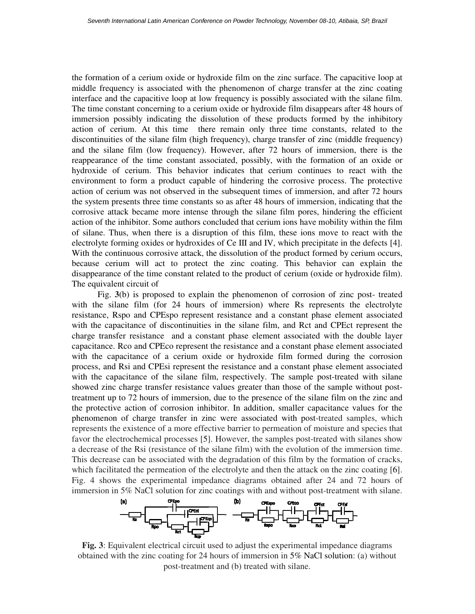the formation of a cerium oxide or hydroxide film on the zinc surface. The capacitive loop at middle frequency is associated with the phenomenon of charge transfer at the zinc coating interface and the capacitive loop at low frequency is possibly associated with the silane film. The time constant concerning to a cerium oxide or hydroxide film disappears after 48 hours of immersion possibly indicating the dissolution of these products formed by the inhibitory action of cerium. At this time there remain only three time constants, related to the discontinuities of the silane film (high frequency), charge transfer of zinc (middle frequency) and the silane film (low frequency). However, after 72 hours of immersion, there is the reappearance of the time constant associated, possibly, with the formation of an oxide or hydroxide of cerium. This behavior indicates that cerium continues to react with the environment to form a product capable of hindering the corrosive process. The protective action of cerium was not observed in the subsequent times of immersion, and after 72 hours the system presents three time constants so as after 48 hours of immersion, indicating that the corrosive attack became more intense through the silane film pores, hindering the efficient action of the inhibitor. Some authors concluded that cerium ions have mobility within the film of silane. Thus, when there is a disruption of this film, these ions move to react with the electrolyte forming oxides or hydroxides of Ce III and IV, which precipitate in the defects [4]. With the continuous corrosive attack, the dissolution of the product formed by cerium occurs, because cerium will act to protect the zinc coating. This behavior can explain the disappearance of the time constant related to the product of cerium (oxide or hydroxide film). The equivalent circuit of

Fig. **3**(b) is proposed to explain the phenomenon of corrosion of zinc post- treated with the silane film (for 24 hours of immersion) where Rs represents the electrolyte resistance, Rspo and CPEspo represent resistance and a constant phase element associated with the capacitance of discontinuities in the silane film, and Rct and CPEct represent the charge transfer resistance and a constant phase element associated with the double layer capacitance. Rco and CPEco represent the resistance and a constant phase element associated with the capacitance of a cerium oxide or hydroxide film formed during the corrosion process, and Rsi and CPEsi represent the resistance and a constant phase element associated with the capacitance of the silane film, respectively. The sample post-treated with silane showed zinc charge transfer resistance values greater than those of the sample without posttreatment up to 72 hours of immersion, due to the presence of the silane film on the zinc and the protective action of corrosion inhibitor. In addition, smaller capacitance values for the phenomenon of charge transfer in zinc were associated with post-treated samples, which represents the existence of a more effective barrier to permeation of moisture and species that favor the electrochemical processes [5]. However, the samples post-treated with silanes show a decrease of the Rsi (resistance of the silane film) with the evolution of the immersion time. This decrease can be associated with the degradation of this film by the formation of cracks, which facilitated the permeation of the electrolyte and then the attack on the zinc coating [6]. Fig. 4 shows the experimental impedance diagrams obtained after 24 and 72 hours of immersion in 5% NaCl solution for zinc coatings with and without post-treatment with silane.



**Fig. 3**: Equivalent electrical circuit used to adjust the experimental impedance diagrams obtained with the zinc coating for 24 hours of immersion in 5% NaCl solution: (a) without post-treatment and (b) treated with silane.